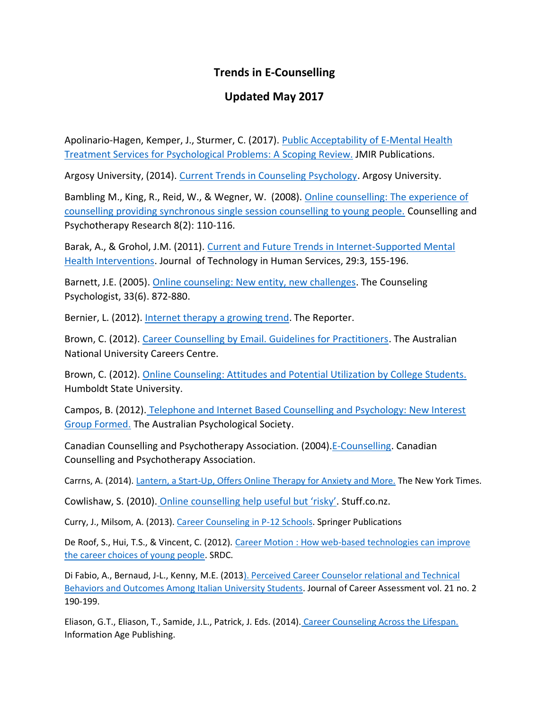## **Trends in E-Counselling**

## **Updated May 2017**

Apolinario-Hagen, Kemper, J., Sturmer, C. (2017). Public Acceptability of E-Mental Health [Treatment Services for Psychological Problems: A Scoping Review.](https://www.ncbi.nlm.nih.gov/pmc/articles/PMC5394261/) JMIR Publications.

Argosy University, (2014). [Current Trends in Counseling Psychology.](https://www.argosy.edu/our-community/blog/Current-Trends-in-Counseling-Psychology) Argosy University.

Bambling M., King, R., Reid, W., & Wegner, W. (2008)[. Online counselling: The experience of](http://www.tandfonline.com/doi/abs/10.1080/14733140802055011#.VZqNNPlViko)  [counselling providing synchronous single session counselling to young people.](http://www.tandfonline.com/doi/abs/10.1080/14733140802055011#.VZqNNPlViko) Counselling and Psychotherapy Research 8(2): 110-116.

Barak, A., & Grohol, J.M. (2011). [Current and Future Trends in Internet-Supported Mental](http://www.tandfonline.com/doi/abs/10.1080/15228835.2011.616939#.U5dUonJdWwg) [Health Interventions.](http://www.tandfonline.com/doi/abs/10.1080/15228835.2011.616939#.U5dUonJdWwg) Journal of Technology in Human Services, 29:3, 155-196.

Barnett, J.E. (2005). [Online counseling: New entity, new challenges.](http://tcp.sagepub.com/content/33/6/910.abstract) The Counseling Psychologist, 33(6). 872-880.

Bernier, L. (2012)[. Internet therapy a growing trend.](https://westernjournalism.wordpress.com/2012/03/01/internet-therapy-a-growing-trend/) The Reporter.

Brown, C. (2012). [Career Counselling by Email. Guidelines for Practitioners.](http://www.cdaa.org.au/ContentUpload/Docs/Career%20Counselling%20by%20Email%20-%20Carole%20Brown.pdf) The Australian National University Careers Centre.

Brown, C. (2012). [Online Counseling: Attitudes and Potential Utilization by College Students.](http://humboldt-dspace.calstate.edu/bitstream/handle/2148/967/Chloe%27s%20Final%20Thesis.pdf?sequence=3http://humboldt-dspace.calstate.edu/bitstream/handle/2148/967/Chloe%27s%20Final%20Thesis.pdf?sequence=3) Humboldt State University.

Campos, B. (2012). [Telephone and Internet Based Counselling and Psychology: New Interest](http://www.groups.psychology.org.au/Assets/Files/articleformationofgroup.pdf)  [Group Formed.](http://www.groups.psychology.org.au/Assets/Files/articleformationofgroup.pdf) The Australian Psychological Society.

Canadian Counselling and Psychotherapy Association. (2004)[.E-Counselling.](http://www.ccpa-accp.ca/wp-content/uploads/2014/10/E-counselling.pdf) Canadian Counselling and Psychotherapy Association.

Carrns, A. (2014). [Lantern, a Start-Up, Offers Online Therapy for Anxiety and More.](https://www.nytimes.com/2014/10/24/business/lantern-a-start-up-offers-online-therapy-for-anxiety-and-more.html?_r=0) The New York Times.

Cowlishaw, S. (2010). [Online counselling help useful but 'risky'](http://www.stuff.co.nz/life-style/well-good/3992339/Online-counselling-help-useful-but-risky). Stuff.co.nz.

Curry, J., Milsom, A. (2013). [Career Counseling in P-12 Schools.](http://www.springerpub.com/product/9780826110237#.U5h5-nZeVig) Springer Publications

De Roof, S., Hui, T.S., & Vincent, C. (2012). Career Motion : How web-based technologies can improve [the career choices of young people.](http://www.srdc.org/uploads/careermotion_final_report_en.pdf) SRDC.

Di Fabio, A., Bernaud, J-L., Kenny, M.E. (201[3\). Perceived Career Counselor relational and Technical](http://jca.sagepub.com/content/21/2/190.abstract)  [Behaviors and Outcomes Among Italian University Students.](http://jca.sagepub.com/content/21/2/190.abstract) Journal of Career Assessment vol. 21 no. 2 190-199.

Eliason, G.T., Eliason, T., Samide, J.L., Patrick, J. Eds. (2014). [Career Counseling Across the Lifespan.](http://www.infoagepub.com/products/Career-Counseling-Across-the-Lifespan) Information Age Publishing.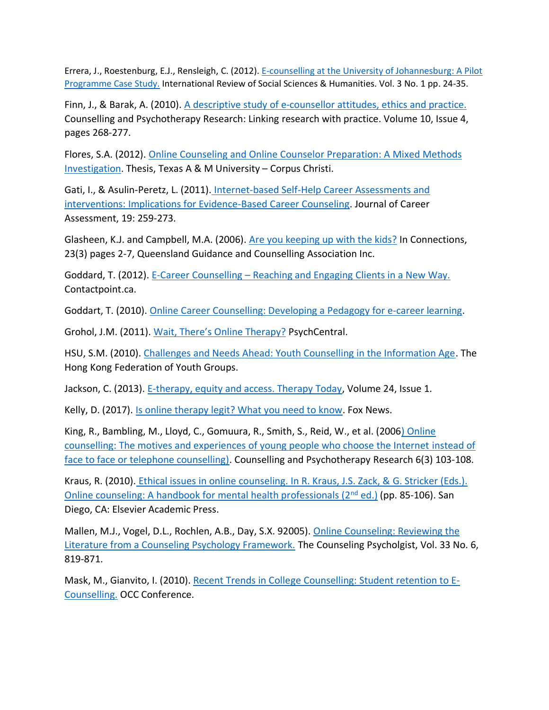Errera, J., Roestenburg, E.J., Rensleigh, C. (2012). [E-counselling at the University of Johannesburg: A Pilot](http://connection.ebscohost.com/c/articles/76348141/e-counselling-university-johannesburg-pilot-programme-case-studyhttp:/connection.ebscohost.com/c/articles/76348141/e-counselling-university-johannesburg-pilot-programme-case-studyhttp:/connection.ebscohost.com/c/articles/76348141/e-counselling-university-johannesburg-pilot-programme-case-study)  [Programme Case Study.](http://connection.ebscohost.com/c/articles/76348141/e-counselling-university-johannesburg-pilot-programme-case-studyhttp:/connection.ebscohost.com/c/articles/76348141/e-counselling-university-johannesburg-pilot-programme-case-studyhttp:/connection.ebscohost.com/c/articles/76348141/e-counselling-university-johannesburg-pilot-programme-case-study) International Review of Social Sciences & Humanities. Vol. 3 No. 1 pp. 24-35.

Finn, J., & Barak, A. (2010). [A descriptive study of e-counsellor attitudes, ethics and practice.](http://construct.haifa.ac.il/~azy/F195-EcounsellorAttitudesEthicsPracticeFinn.pdf) Counselling and Psychotherapy Research: Linking research with practice. Volume 10, Issue 4, pages 268-277.

Flores, S.A. (2012). [Online Counseling and Online Counselor Preparation: A Mixed Methods](https://repositories.tdl.org/tamucc-ir/bitstream/handle/1969.6/287/Flores_dissertation.pdf?sequence=1)  [Investigation.](https://repositories.tdl.org/tamucc-ir/bitstream/handle/1969.6/287/Flores_dissertation.pdf?sequence=1) Thesis, Texas A & M University – Corpus Christi.

Gati, I., & Asulin-Peretz, L. (2011). [Internet-based Self-Help Career Assessments and](http://jca.sagepub.com/content/19/3/259.abstract)  [interventions: Implications for Evidence-Based Career Counseling.](http://jca.sagepub.com/content/19/3/259.abstract) Journal of Career Assessment, 19: 259-273.

Glasheen, K.J. and Campbell, M.A. (2006). [Are you keeping up with the kids?](http://eprints.qut.edu.au/14885/1/14885.pdf) In Connections, 23(3) pages 2-7, Queensland Guidance and Counselling Association Inc.

Goddard, T. (2012). E-Career Counselling – [Reaching and Engaging Clients in a New Way.](http://contactpoint.ca/2012/10/e-career-counselling-reaching-and-engaging-clients-in-a-new-way/) Contactpoint.ca.

Goddart, T. (2010). [Online Career Counselling: Developing a Pedagogy for e-career learning.](http://www.training-innovations.com/files/Online-Career-Counselling_Jiva2010.pdf)

Grohol, J.M. (2011). [Wait, There's Online Therapy?](http://psychcentral.com/blog/archives/2011/07/14/telehealth-wait-theres-online-therapy/) PsychCentral.

HSU, S.M. (2010). [Challenges and Needs Ahead: Youth Counselling in the Information Age.](http://yrc.hkfyg.org.hk/page.aspx?corpname=yrc&i=3895) The Hong Kong Federation of Youth Groups.

Jackson, C. (2013). [E-therapy, equity and access. Therapy Today,](http://www.therapytoday.net/article/show/3541/e-therapy-equality-and-access/) Volume 24, Issue 1.

Kelly, D. (2017). [Is online therapy legit? What you need to know.](http://www.foxnews.com/health/2017/03/09/is-online-therapy-legit-what-need-to-know.html) Fox News.

King, R., Bambling, M., Lloyd, C., Gomuura, R., Smith, S., Reid, W., et al. (200[6\) Online](http://www.tandfonline.com/doi/abs/10.1080/14733140600848179#.VZqT6vnLkgU)  [counselling: The motives and experiences of young people who choose the Internet instead of](http://www.tandfonline.com/doi/abs/10.1080/14733140600848179#.VZqT6vnLkgU)  [face to face or telephone counselling\).](http://www.tandfonline.com/doi/abs/10.1080/14733140600848179#.VZqT6vnLkgU) Counselling and Psychotherapy Research 6(3) 103-108.

Kraus, R. (2010). [Ethical issues in online counseling. In R. Kraus, J.S. Zack, &](http://www.sciencedirect.com/science/book/9780123785961) G. Stricker (Eds.). [Online counseling: A handbook for mental health professionals \(2](http://www.sciencedirect.com/science/book/9780123785961)<sup>nd</sup> ed.) (pp. 85-106). San Diego, CA: Elsevier Academic Press.

Mallen, M.J., Vogel, D.L., Rochlen, A.B., Day, S.X. 92005). [Online Counseling: Reviewing the](http://www.researchgate.net/publication/238078522_Online_Counseling_Reviewing_the_Literature_From_a_Counseling_Psychology_Framework)  [Literature from a Counseling Psychology Framework.](http://www.researchgate.net/publication/238078522_Online_Counseling_Reviewing_the_Literature_From_a_Counseling_Psychology_Framework) The Counseling Psycholgist, Vol. 33 No. 6, 819-871.

Mask, M., Gianvito, I. (2010). [Recent Trends in College Counselling: Student retention to E-](http://www.occ-ccco.ca/pdfs/Conferences/OCC%20Conference%20Program%202010-Humber%20College%20North.pdf)[Counselling.](http://www.occ-ccco.ca/pdfs/Conferences/OCC%20Conference%20Program%202010-Humber%20College%20North.pdf) OCC Conference.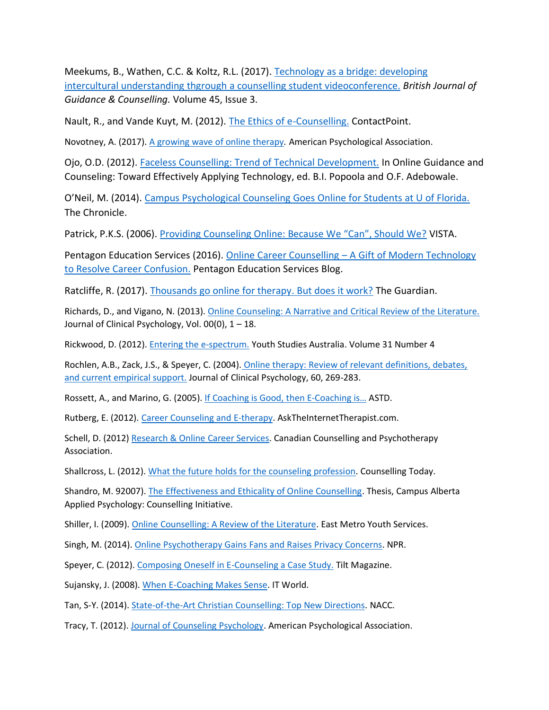Meekums, B., Wathen, C.C. & Koltz, R.L. (2017). [Technology as a bridge: developing](http://www.academia.edu/31241988/Technology_as_a_bridge_Developing_inter-cultural_understanding_through_a_student_videoconference_for_counselling_trainees)  intercultural understanding thgrough [a counselling student videoconference.](http://www.academia.edu/31241988/Technology_as_a_bridge_Developing_inter-cultural_understanding_through_a_student_videoconference_for_counselling_trainees) *British Journal of Guidance & Counselling.* Volume 45, Issue 3.

Nault, R., and Vande Kuyt, M. (2012). [The Ethics of e-Counselling.](http://contactpoint.ca/2012/12/the-ethics-of-e-counselling/) ContactPoint.

Novotney, A. (2017)[. A growing wave of online therapy](http://www.apa.org/monitor/2017/02/online-therapy.aspx)*.* American Psychological Association.

Ojo, O.D. (2012). [Faceless Counselling: Trend of Technical Development.](http://www.igi-global.com/chapter/faceless-counselling-trend-technological-development/68028) In Online Guidance and Counseling: Toward Effectively Applying Technology, ed. B.I. Popoola and O.F. Adebowale.

O'Neil, M. (2014). [Campus Psychological Counseling Goes Online for Students at U of Florida.](http://www.chronicle.com/article/Campus-Psychological/143963) The Chronicle.

Patrick, P.K.S. (2006). [Providing Counseling Online: Because We "Can", Should We?](http://www.counseling.org/knowledge-center/vistas/by-year2/vistas-2006/docs/default-source/vistas/vistas_2006_patrick2) VISTA.

Pentagon Education Services (2016). Online Career Counselling – [A Gift of Modern Technology](http://pentagoneducation.com/blog/online-career-counselling/)  [to Resolve Career Confusion.](http://pentagoneducation.com/blog/online-career-counselling/) Pentagon Education Services Blog.

Ratcliffe, R. (2017). [Thousands go online for therapy. But does it work?](https://www.theguardian.com/society/2017/feb/12/online-therapy-thousands-but-does-it-work) The Guardian.

Richards, D., and Vigano, N. (2013). [Online Counseling: A Narrative and Critical Review of the Literature.](http://www.ncbi.nlm.nih.gov/pubmed/23630010) Journal of Clinical Psychology, Vol. 00(0), 1 – 18.

Rickwood, D. (2012). [Entering the e-spectrum.](http://www.google.ca/url?sa=t&rct=j&q=&esrc=s&source=web&cd=2&ved=0CCYQFjAB&url=http%3A%2F%2Fjournals.sfu.ca%2Fysa%2Findex.php%2FYSA%2Farticle%2Fdownload%2F73%2F93&ei=3JqaVfmPGpOTyASVxpC4BA&usg=AFQjCNHT3UkaV4IzP99dEG892TWjHwcyPg&bvm=bv.96952980,d.aWw) Youth Studies Australia. Volume 31 Number 4

Rochlen, A.B., Zack, J.S., & Speyer, C. (2004). [Online therapy: Review of relevant definitions, debates,](http://acpor.ro/files/file/resurse_articole/ROCHLEN_2004_online_therapy.pdf)  [and current empirical support.](http://acpor.ro/files/file/resurse_articole/ROCHLEN_2004_online_therapy.pdf) Journal of Clinical Psychology, 60, 269-283.

Rossett, A., and Marino, G. (2005). [If Coaching is Good, then E-](http://www.vickistasch.com/files/DMS/coaching_article.pdf)Coaching is… ASTD.

Rutberg, E. (2012). [Career Counseling and E-therapy.](http://www.asktheinternettherapist.com/staff/therapists/eric-rutberg/) AskTheInternetTherapist.com.

Schell, D. (2012[\) Research & Online Career Services.](http://www.ccpa-accp.ca/research-online-career-services/) Canadian Counselling and Psychotherapy Association.

Shallcross, L. (2012). [What the future holds for the counseling profession.](http://ct.counseling.org/2012/03/what-the-future-holds-for-the-counseling-profession/http:/ct.counseling.org/2012/03/what-the-future-holds-for-the-counseling-profession/) Counselling Today.

Shandro, M. 92007)[. The Effectiveness and Ethicality of Online Counselling.](http://dtpr.lib.athabascau.ca/action/download.php?filename=caap/matthewshandroProject.pdf) Thesis, Campus Alberta Applied Psychology: Counselling Initiative.

Shiller, I. (2009). [Online Counselling: A Review of the Literature.](http://www.emys.on.ca/pdfs_fordownload/onlinecounselling_literaturereview.pdfhttp:/www.emys.on.ca/pdfs_fordownload/onlinecounselling_literaturereview.pdf) East Metro Youth Services.

Singh, M. (2014). [Online Psychotherapy Gains Fans and Raises Privacy Concerns.](http://www.npr.org/sections/health-shots/2014/06/30/325488110/online-psychotherapy-gains-fans-and-raises-privacy-concer) NPR.

Speyer, C. (2012). [Composing Oneself in E-Counseling a Case Study.](http://onlinetherapyinstitute.com/2012/05/29/composing-oneself-in-e-counseling-a-case-study/) Tilt Magazine.

Sujansky, J. (2008). [When E-Coaching Makes Sense.](http://www.itworld.com/career/55101/when-e-coaching-makes-sense) IT World.

Tan, S-Y. (2014). [State-of-the-Art Christian Counselling: Top New Directions.](http://nacc-malaysia.org/newsmaster.cfm?&menuid=60&action=view&retrieveid=3) NACC.

Tracy, T. (2012). [Journal of Counseling Psychology.](http://www.apa.org/pubs/journals/cou/) American Psychological Association.